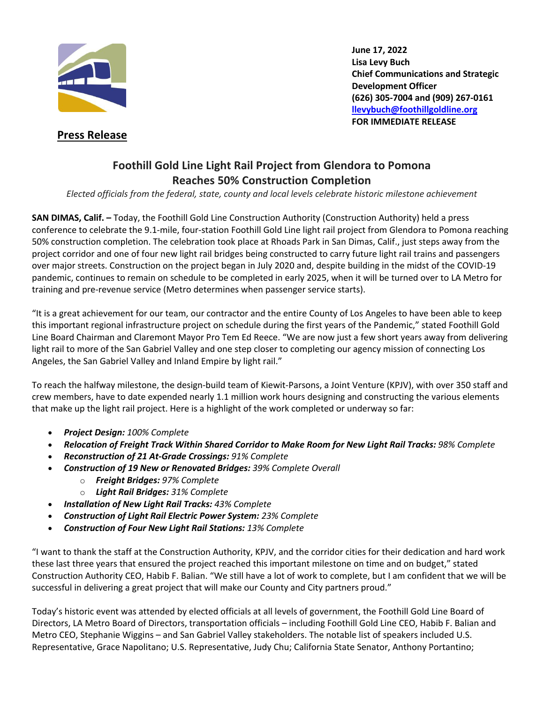

 **Press Release**

**June 17, 2022 Lisa Levy Buch Chief Communications and Strategic Development Officer (626) 305-7004 and (909) 267-0161 llevybuch@foothillgoldline.org FOR IMMEDIATE RELEASE**

## **Foothill Gold Line Light Rail Project from Glendora to Pomona Reaches 50% Construction Completion**

*Elected officials from the federal, state, county and local levels celebrate historic milestone achievement*

**SAN DIMAS, Calif. –** Today, the Foothill Gold Line Construction Authority (Construction Authority) held a press conference to celebrate the 9.1-mile, four-station Foothill Gold Line light rail project from Glendora to Pomona reaching 50% construction completion. The celebration took place at Rhoads Park in San Dimas, Calif., just steps away from the project corridor and one of four new light rail bridges being constructed to carry future light rail trains and passengers over major streets. Construction on the project began in July 2020 and, despite building in the midst of the COVID-19 pandemic, continues to remain on schedule to be completed in early 2025, when it will be turned over to LA Metro for training and pre-revenue service (Metro determines when passenger service starts).

"It is a great achievement for our team, our contractor and the entire County of Los Angeles to have been able to keep this important regional infrastructure project on schedule during the first years of the Pandemic," stated Foothill Gold Line Board Chairman and Claremont Mayor Pro Tem Ed Reece. "We are now just a few short years away from delivering light rail to more of the San Gabriel Valley and one step closer to completing our agency mission of connecting Los Angeles, the San Gabriel Valley and Inland Empire by light rail."

To reach the halfway milestone, the design-build team of Kiewit-Parsons, a Joint Venture (KPJV), with over 350 staff and crew members, have to date expended nearly 1.1 million work hours designing and constructing the various elements that make up the light rail project. Here is a highlight of the work completed or underway so far:

- *Project Design: 100% Complete*
- *Relocation of Freight Track Within Shared Corridor to Make Room for New Light Rail Tracks: 98% Complete*
- *Reconstruction of 21 At-Grade Crossings: 91% Complete*
- *Construction of 19 New or Renovated Bridges: 39% Complete Overall*
	- o *Freight Bridges: 97% Complete*
	- o *Light Rail Bridges: 31% Complete*
- *Installation of New Light Rail Tracks: 43% Complete*
- *Construction of Light Rail Electric Power System: 23% Complete*
- *Construction of Four New Light Rail Stations: 13% Complete*

"I want to thank the staff at the Construction Authority, KPJV, and the corridor cities for their dedication and hard work these last three years that ensured the project reached this important milestone on time and on budget," stated Construction Authority CEO, Habib F. Balian. "We still have a lot of work to complete, but I am confident that we will be successful in delivering a great project that will make our County and City partners proud."

Today's historic event was attended by elected officials at all levels of government, the Foothill Gold Line Board of Directors, LA Metro Board of Directors, transportation officials – including Foothill Gold Line CEO, Habib F. Balian and Metro CEO, Stephanie Wiggins – and San Gabriel Valley stakeholders. The notable list of speakers included U.S. Representative, Grace Napolitano; U.S. Representative, Judy Chu; California State Senator, Anthony Portantino;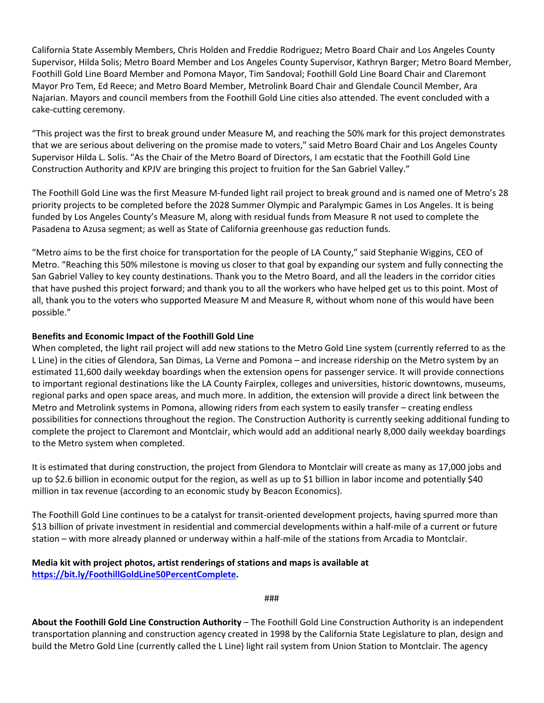California State Assembly Members, Chris Holden and Freddie Rodriguez; Metro Board Chair and Los Angeles County Supervisor, Hilda Solis; Metro Board Member and Los Angeles County Supervisor, Kathryn Barger; Metro Board Member, Foothill Gold Line Board Member and Pomona Mayor, Tim Sandoval; Foothill Gold Line Board Chair and Claremont Mayor Pro Tem, Ed Reece; and Metro Board Member, Metrolink Board Chair and Glendale Council Member, Ara Najarian. Mayors and council members from the Foothill Gold Line cities also attended. The event concluded with a cake-cutting ceremony.

"This project was the first to break ground under Measure M, and reaching the 50% mark for this project demonstrates that we are serious about delivering on the promise made to voters," said Metro Board Chair and Los Angeles County Supervisor Hilda L. Solis. "As the Chair of the Metro Board of Directors, I am ecstatic that the Foothill Gold Line Construction Authority and KPJV are bringing this project to fruition for the San Gabriel Valley."

The Foothill Gold Line was the first Measure M-funded light rail project to break ground and is named one of Metro's 28 priority projects to be completed before the 2028 Summer Olympic and Paralympic Games in Los Angeles. It is being funded by Los Angeles County's Measure M, along with residual funds from Measure R not used to complete the Pasadena to Azusa segment; as well as State of California greenhouse gas reduction funds.

"Metro aims to be the first choice for transportation for the people of LA County," said Stephanie Wiggins, CEO of Metro. "Reaching this 50% milestone is moving us closer to that goal by expanding our system and fully connecting the San Gabriel Valley to key county destinations. Thank you to the Metro Board, and all the leaders in the corridor cities that have pushed this project forward; and thank you to all the workers who have helped get us to this point. Most of all, thank you to the voters who supported Measure M and Measure R, without whom none of this would have been possible."

## **Benefits and Economic Impact of the Foothill Gold Line**

When completed, the light rail project will add new stations to the Metro Gold Line system (currently referred to as the L Line) in the cities of Glendora, San Dimas, La Verne and Pomona – and increase ridership on the Metro system by an estimated 11,600 daily weekday boardings when the extension opens for passenger service. It will provide connections to important regional destinations like the LA County Fairplex, colleges and universities, historic downtowns, museums, regional parks and open space areas, and much more. In addition, the extension will provide a direct link between the Metro and Metrolink systems in Pomona, allowing riders from each system to easily transfer – creating endless possibilities for connections throughout the region. The Construction Authority is currently seeking additional funding to complete the project to Claremont and Montclair, which would add an additional nearly 8,000 daily weekday boardings to the Metro system when completed.

It is estimated that during construction, the project from Glendora to Montclair will create as many as 17,000 jobs and up to \$2.6 billion in economic output for the region, as well as up to \$1 billion in labor income and potentially \$40 million in tax revenue (according to an economic study by Beacon Economics).

The Foothill Gold Line continues to be a catalyst for transit-oriented development projects, having spurred more than \$13 billion of private investment in residential and commercial developments within a half-mile of a current or future station – with more already planned or underway within a half-mile of the stations from Arcadia to Montclair.

## **Media kit with project photos, artist renderings of stations and maps is available at https://bit.ly/FoothillGoldLine50PercentComplete.**

## ###

**About the Foothill Gold Line Construction Authority** – The Foothill Gold Line Construction Authority is an independent transportation planning and construction agency created in 1998 by the California State Legislature to plan, design and build the Metro Gold Line (currently called the L Line) light rail system from Union Station to Montclair. The agency